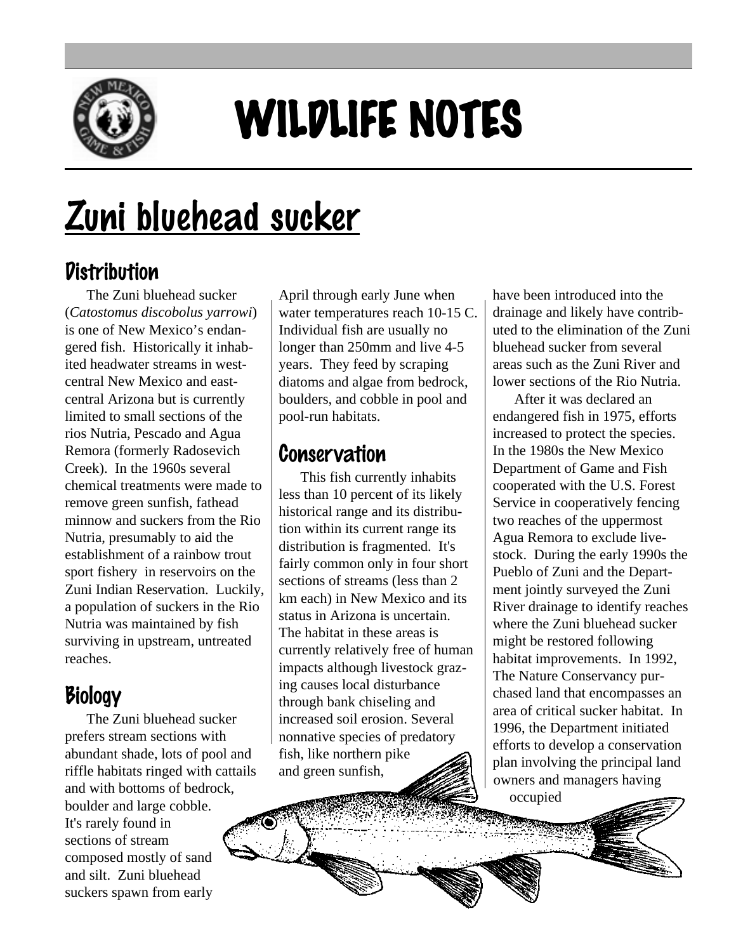

# WILDLIFE NOTES

## Zuni bluehead sucker

#### **Distribution**

The Zuni bluehead sucker (*Catostomus discobolus yarrowi*) is one of New Mexico's endangered fish. Historically it inhabited headwater streams in westcentral New Mexico and eastcentral Arizona but is currently limited to small sections of the rios Nutria, Pescado and Agua Remora (formerly Radosevich Creek). In the 1960s several chemical treatments were made to remove green sunfish, fathead minnow and suckers from the Rio Nutria, presumably to aid the establishment of a rainbow trout sport fishery in reservoirs on the Zuni Indian Reservation. Luckily, a population of suckers in the Rio Nutria was maintained by fish surviving in upstream, untreated reaches.

### **Biology**

The Zuni bluehead sucker prefers stream sections with abundant shade, lots of pool and riffle habitats ringed with cattails and with bottoms of bedrock, boulder and large cobble. It's rarely found in sections of stream composed mostly of sand and silt. Zuni bluehead suckers spawn from early

April through early June when water temperatures reach 10-15 C. Individual fish are usually no longer than 250mm and live 4-5 years. They feed by scraping diatoms and algae from bedrock, boulders, and cobble in pool and pool-run habitats.

#### **Conservation**

This fish currently inhabits less than 10 percent of its likely historical range and its distribution within its current range its distribution is fragmented. It's fairly common only in four short sections of streams (less than 2 km each) in New Mexico and its status in Arizona is uncertain. The habitat in these areas is currently relatively free of human impacts although livestock grazing causes local disturbance through bank chiseling and increased soil erosion. Several nonnative species of predatory fish, like northern pike and green sunfish,

have been introduced into the drainage and likely have contributed to the elimination of the Zuni bluehead sucker from several areas such as the Zuni River and lower sections of the Rio Nutria.

After it was declared an endangered fish in 1975, efforts increased to protect the species. In the 1980s the New Mexico Department of Game and Fish cooperated with the U.S. Forest Service in cooperatively fencing two reaches of the uppermost Agua Remora to exclude livestock. During the early 1990s the Pueblo of Zuni and the Department jointly surveyed the Zuni River drainage to identify reaches where the Zuni bluehead sucker might be restored following habitat improvements. In 1992, The Nature Conservancy purchased land that encompasses an area of critical sucker habitat. In 1996, the Department initiated efforts to develop a conservation plan involving the principal land owners and managers having occupied